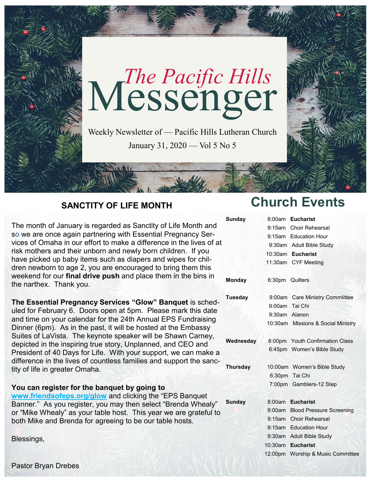

## **SANCTITY OF LIFE MONTH**

The month of January is regarded as Sanctity of Life Month and so we are once again partnering with Essential Pregnancy Services of Omaha in our effort to make a difference in the lives of at risk mothers and their unborn and newly born children. If you have picked up baby items such as diapers and wipes for children newborn to age 2, you are encouraged to bring them this weekend for our **final drive push** and place them in the bins in the narthex. Thank you.

**The Essential Pregnancy Services "Glow" Banquet** is scheduled for February 6. Doors open at 5pm. Please mark this date and time on your calendar for the 24th Annual EPS Fundraising Dinner (6pm). As in the past, it will be hosted at the Embassy Suites of LaVista. The keynote speaker will be Shawn Carney, depicted in the inspiring true story, Unplanned, and CEO and President of 40 Days for Life. With your support, we can make a difference in the lives of countless families and support the sanctity of life in greater Omaha.

### **You can register for the banquet by going to**

**Sunc [www.friendsofeps.org/glow](http://www.friendsofeps.org/glow)** and clicking the "EPS Banquet Banner." As you register, you may then select "Brenda Whealy" or "Mike Whealy" as your table host. This year we are grateful to both Mike and Brenda for agreeing to be our table hosts.

Blessings,

**Church Events**

| <b>Sunday</b>   |                 | 8:00am Eucharist                   |
|-----------------|-----------------|------------------------------------|
|                 |                 | 9:15am Choir Rehearsal             |
|                 |                 | 9:15am Education Hour              |
|                 |                 | 9:30am Adult Bible Study           |
|                 |                 | 10:30am Eucharist                  |
|                 |                 | 11:30am CYF Meeting                |
| <b>Monday</b>   | 6:30pm Quilters |                                    |
| <b>Tuesday</b>  |                 | 9:00am Care Ministry Commiittee    |
|                 | 9:00am Tai Chi  |                                    |
|                 | 9:30am Alanon   |                                    |
|                 |                 | 10:30am Missions & Social Ministry |
| Wednesday       |                 | 6:00pm Youth Confirmation Class    |
|                 |                 | 6:45pm Women's Bible Study         |
| <b>Thursday</b> |                 | 10:00am Women's Bible Study        |
|                 |                 | 6:30pm Tai Chi                     |
|                 |                 | 7:00pm Gamblers-12 Step            |
| <b>Sunday</b>   | 8:00am          | <b>Eucharist</b>                   |
|                 |                 | 9:00am Blood Pressure Screening    |
|                 |                 | 9:15am Choir Rehearsal             |
|                 |                 | 9:15am Education Hour              |
|                 |                 | 9:30am Adult Bible Study           |
|                 | $10:30$ am      | <b>Eucharist</b>                   |
|                 | 12:00pm         | Worship & Music Committee          |